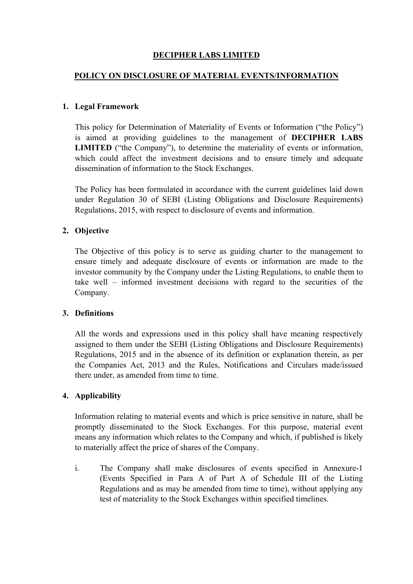# DECIPHER LABS LIMITED

## POLICY ON DISCLOSURE OF MATERIAL EVENTS/INFORMATION

## 1. Legal Framework

This policy for Determination of Materiality of Events or Information ("the Policy") is aimed at providing guidelines to the management of DECIPHER LABS LIMITED ("the Company"), to determine the materiality of events or information, which could affect the investment decisions and to ensure timely and adequate dissemination of information to the Stock Exchanges.

The Policy has been formulated in accordance with the current guidelines laid down under Regulation 30 of SEBI (Listing Obligations and Disclosure Requirements) Regulations, 2015, with respect to disclosure of events and information.

## 2. Objective

The Objective of this policy is to serve as guiding charter to the management to ensure timely and adequate disclosure of events or information are made to the investor community by the Company under the Listing Regulations, to enable them to take well – informed investment decisions with regard to the securities of the Company.

#### 3. Definitions

All the words and expressions used in this policy shall have meaning respectively assigned to them under the SEBI (Listing Obligations and Disclosure Requirements) Regulations, 2015 and in the absence of its definition or explanation therein, as per the Companies Act, 2013 and the Rules, Notifications and Circulars made/issued there under, as amended from time to time.

#### 4. Applicability

Information relating to material events and which is price sensitive in nature, shall be promptly disseminated to the Stock Exchanges. For this purpose, material event means any information which relates to the Company and which, if published is likely to materially affect the price of shares of the Company.

i. The Company shall make disclosures of events specified in Annexure-1 (Events Specified in Para A of Part A of Schedule III of the Listing Regulations and as may be amended from time to time), without applying any test of materiality to the Stock Exchanges within specified timelines.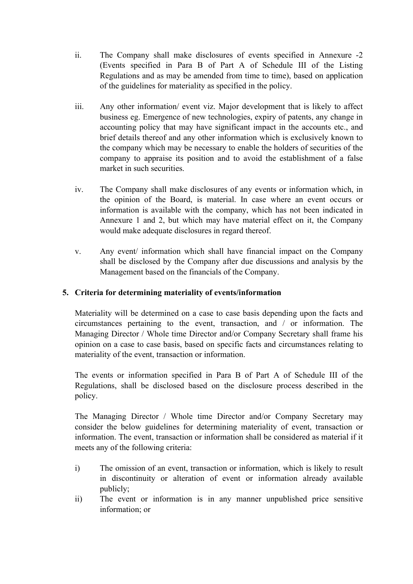- ii. The Company shall make disclosures of events specified in Annexure -2 (Events specified in Para B of Part A of Schedule III of the Listing Regulations and as may be amended from time to time), based on application of the guidelines for materiality as specified in the policy.
- iii. Any other information/ event viz. Major development that is likely to affect business eg. Emergence of new technologies, expiry of patents, any change in accounting policy that may have significant impact in the accounts etc., and brief details thereof and any other information which is exclusively known to the company which may be necessary to enable the holders of securities of the company to appraise its position and to avoid the establishment of a false market in such securities.
- iv. The Company shall make disclosures of any events or information which, in the opinion of the Board, is material. In case where an event occurs or information is available with the company, which has not been indicated in Annexure 1 and 2, but which may have material effect on it, the Company would make adequate disclosures in regard thereof.
- v. Any event/ information which shall have financial impact on the Company shall be disclosed by the Company after due discussions and analysis by the Management based on the financials of the Company.

## 5. Criteria for determining materiality of events/information

Materiality will be determined on a case to case basis depending upon the facts and circumstances pertaining to the event, transaction, and / or information. The Managing Director / Whole time Director and/or Company Secretary shall frame his opinion on a case to case basis, based on specific facts and circumstances relating to materiality of the event, transaction or information.

The events or information specified in Para B of Part A of Schedule III of the Regulations, shall be disclosed based on the disclosure process described in the policy.

The Managing Director / Whole time Director and/or Company Secretary may consider the below guidelines for determining materiality of event, transaction or information. The event, transaction or information shall be considered as material if it meets any of the following criteria:

- i) The omission of an event, transaction or information, which is likely to result in discontinuity or alteration of event or information already available publicly;
- ii) The event or information is in any manner unpublished price sensitive information; or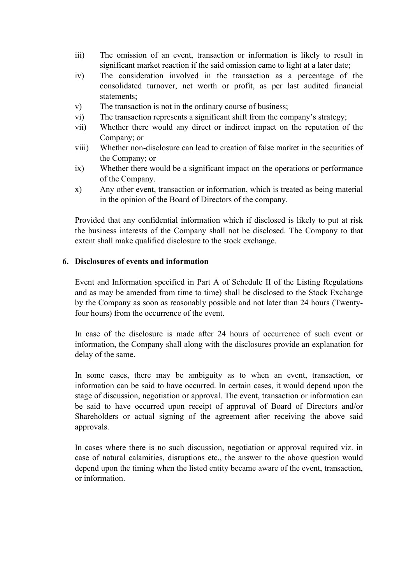- iii) The omission of an event, transaction or information is likely to result in significant market reaction if the said omission came to light at a later date;
- iv) The consideration involved in the transaction as a percentage of the consolidated turnover, net worth or profit, as per last audited financial statements;
- v) The transaction is not in the ordinary course of business;
- vi) The transaction represents a significant shift from the company's strategy;
- vii) Whether there would any direct or indirect impact on the reputation of the Company; or
- viii) Whether non-disclosure can lead to creation of false market in the securities of the Company; or
- ix) Whether there would be a significant impact on the operations or performance of the Company.
- x) Any other event, transaction or information, which is treated as being material in the opinion of the Board of Directors of the company.

Provided that any confidential information which if disclosed is likely to put at risk the business interests of the Company shall not be disclosed. The Company to that extent shall make qualified disclosure to the stock exchange.

#### 6. Disclosures of events and information

Event and Information specified in Part A of Schedule II of the Listing Regulations and as may be amended from time to time) shall be disclosed to the Stock Exchange by the Company as soon as reasonably possible and not later than 24 hours (Twentyfour hours) from the occurrence of the event.

In case of the disclosure is made after 24 hours of occurrence of such event or information, the Company shall along with the disclosures provide an explanation for delay of the same.

In some cases, there may be ambiguity as to when an event, transaction, or information can be said to have occurred. In certain cases, it would depend upon the stage of discussion, negotiation or approval. The event, transaction or information can be said to have occurred upon receipt of approval of Board of Directors and/or Shareholders or actual signing of the agreement after receiving the above said approvals.

In cases where there is no such discussion, negotiation or approval required viz. in case of natural calamities, disruptions etc., the answer to the above question would depend upon the timing when the listed entity became aware of the event, transaction, or information.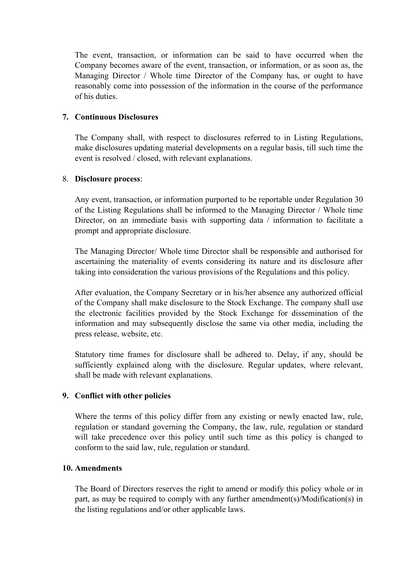The event, transaction, or information can be said to have occurred when the Company becomes aware of the event, transaction, or information, or as soon as, the Managing Director / Whole time Director of the Company has, or ought to have reasonably come into possession of the information in the course of the performance of his duties.

## 7. Continuous Disclosures

The Company shall, with respect to disclosures referred to in Listing Regulations, make disclosures updating material developments on a regular basis, till such time the event is resolved / closed, with relevant explanations.

## 8. Disclosure process:

Any event, transaction, or information purported to be reportable under Regulation 30 of the Listing Regulations shall be informed to the Managing Director / Whole time Director, on an immediate basis with supporting data / information to facilitate a prompt and appropriate disclosure.

The Managing Director/ Whole time Director shall be responsible and authorised for ascertaining the materiality of events considering its nature and its disclosure after taking into consideration the various provisions of the Regulations and this policy.

After evaluation, the Company Secretary or in his/her absence any authorized official of the Company shall make disclosure to the Stock Exchange. The company shall use the electronic facilities provided by the Stock Exchange for dissemination of the information and may subsequently disclose the same via other media, including the press release, website, etc.

Statutory time frames for disclosure shall be adhered to. Delay, if any, should be sufficiently explained along with the disclosure. Regular updates, where relevant, shall be made with relevant explanations.

## 9. Conflict with other policies

Where the terms of this policy differ from any existing or newly enacted law, rule, regulation or standard governing the Company, the law, rule, regulation or standard will take precedence over this policy until such time as this policy is changed to conform to the said law, rule, regulation or standard.

## 10. Amendments

The Board of Directors reserves the right to amend or modify this policy whole or in part, as may be required to comply with any further amendment(s)/Modification(s) in the listing regulations and/or other applicable laws.